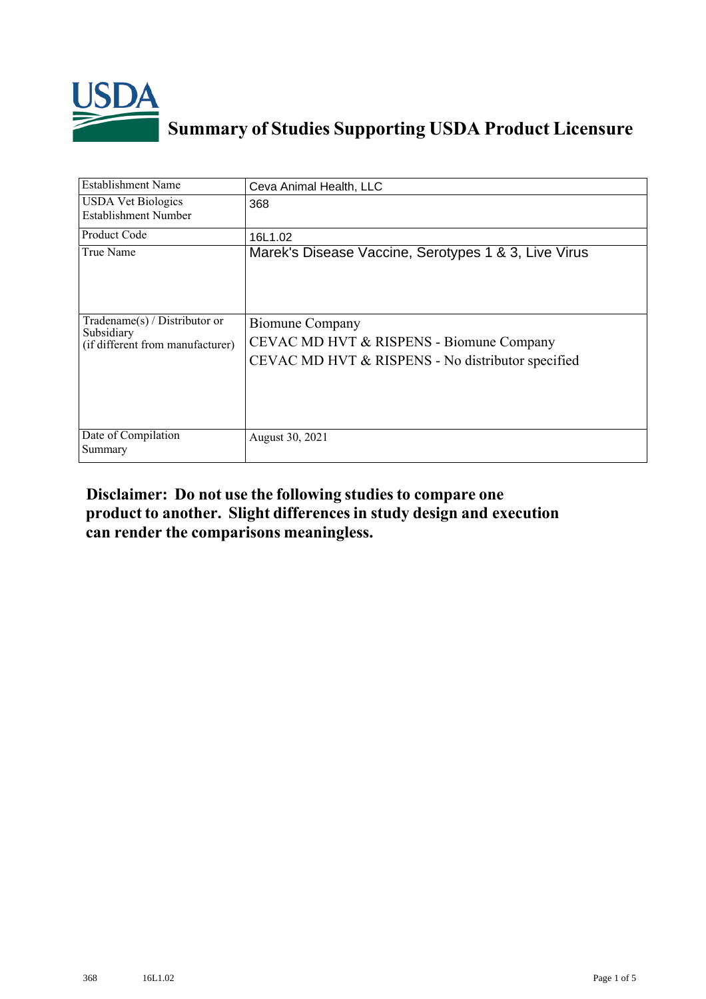

## **Summary of Studies Supporting USDA Product Licensure**

| <b>Establishment Name</b>                                | Ceva Animal Health, LLC                              |
|----------------------------------------------------------|------------------------------------------------------|
| <b>USDA Vet Biologics</b><br><b>Establishment Number</b> | 368                                                  |
| <b>Product Code</b>                                      | 16L1.02                                              |
| True Name                                                | Marek's Disease Vaccine, Serotypes 1 & 3, Live Virus |
| Tradename $(s)$ / Distributor or                         | <b>Biomune Company</b>                               |
| Subsidiary<br>(if different from manufacturer)           | CEVAC MD HVT & RISPENS - Biomune Company             |
|                                                          | CEVAC MD HVT & RISPENS - No distributor specified    |
| Date of Compilation<br>Summary                           | August 30, 2021                                      |

## **Disclaimer: Do not use the following studiesto compare one product to another. Slight differencesin study design and execution can render the comparisons meaningless.**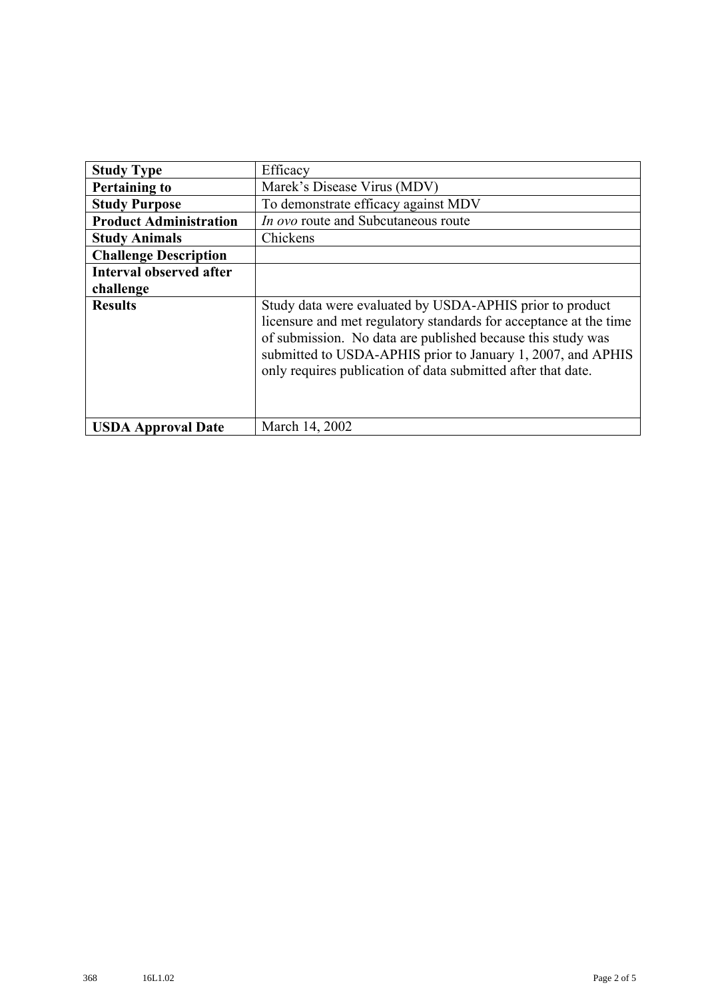| <b>Study Type</b>              | Efficacy                                                                                                                                                                                                                                                                                                                    |
|--------------------------------|-----------------------------------------------------------------------------------------------------------------------------------------------------------------------------------------------------------------------------------------------------------------------------------------------------------------------------|
| <b>Pertaining to</b>           | Marek's Disease Virus (MDV)                                                                                                                                                                                                                                                                                                 |
| <b>Study Purpose</b>           | To demonstrate efficacy against MDV                                                                                                                                                                                                                                                                                         |
| <b>Product Administration</b>  | In ovo route and Subcutaneous route                                                                                                                                                                                                                                                                                         |
| <b>Study Animals</b>           | Chickens                                                                                                                                                                                                                                                                                                                    |
| <b>Challenge Description</b>   |                                                                                                                                                                                                                                                                                                                             |
| <b>Interval observed after</b> |                                                                                                                                                                                                                                                                                                                             |
| challenge                      |                                                                                                                                                                                                                                                                                                                             |
| <b>Results</b>                 | Study data were evaluated by USDA-APHIS prior to product<br>licensure and met regulatory standards for acceptance at the time<br>of submission. No data are published because this study was<br>submitted to USDA-APHIS prior to January 1, 2007, and APHIS<br>only requires publication of data submitted after that date. |
| <b>USDA Approval Date</b>      | March 14, 2002                                                                                                                                                                                                                                                                                                              |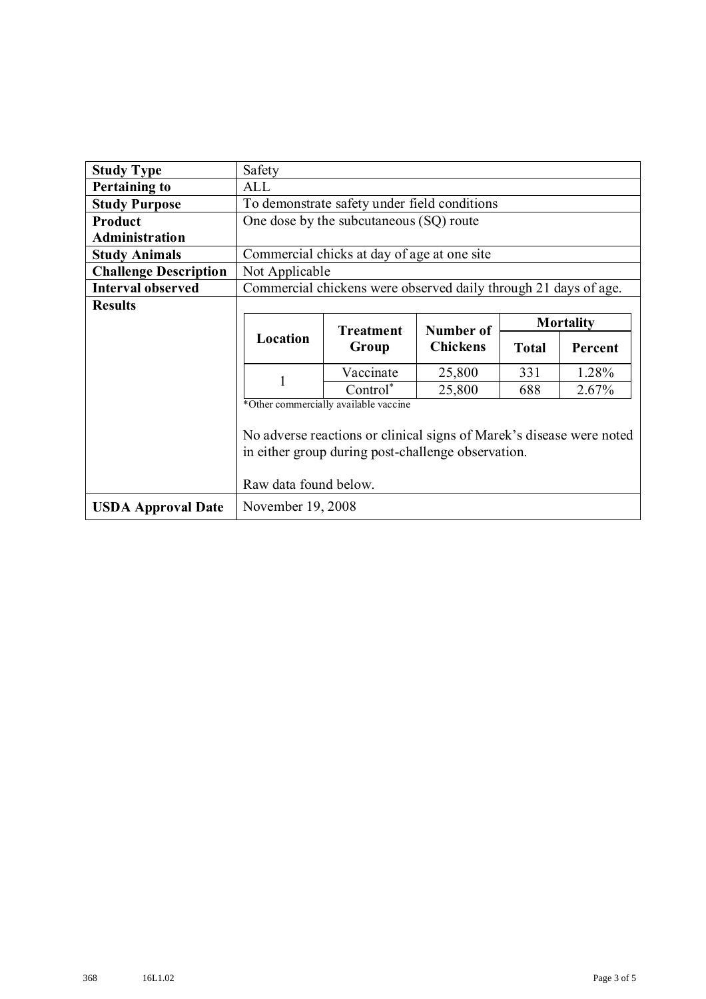| <b>Study Type</b>            | Safety                                            |                                                                                                                            |                 |              |         |  |
|------------------------------|---------------------------------------------------|----------------------------------------------------------------------------------------------------------------------------|-----------------|--------------|---------|--|
| <b>Pertaining to</b>         | ALL                                               |                                                                                                                            |                 |              |         |  |
| <b>Study Purpose</b>         | To demonstrate safety under field conditions      |                                                                                                                            |                 |              |         |  |
| Product                      | One dose by the subcutaneous (SQ) route           |                                                                                                                            |                 |              |         |  |
| <b>Administration</b>        |                                                   |                                                                                                                            |                 |              |         |  |
| <b>Study Animals</b>         | Commercial chicks at day of age at one site       |                                                                                                                            |                 |              |         |  |
| <b>Challenge Description</b> | Not Applicable                                    |                                                                                                                            |                 |              |         |  |
| <b>Interval observed</b>     |                                                   | Commercial chickens were observed daily through 21 days of age.                                                            |                 |              |         |  |
| <b>Results</b>               |                                                   |                                                                                                                            |                 |              |         |  |
|                              | <b>Mortality</b><br>Number of<br><b>Treatment</b> |                                                                                                                            |                 |              |         |  |
|                              |                                                   |                                                                                                                            |                 |              |         |  |
|                              | Location                                          | Group                                                                                                                      | <b>Chickens</b> | <b>Total</b> | Percent |  |
|                              |                                                   | Vaccinate                                                                                                                  | 25,800          | 331          | 1.28%   |  |
|                              | 1                                                 | Control*                                                                                                                   | 25,800          | 688          | 2.67%   |  |
|                              |                                                   | *Other commercially available vaccine                                                                                      |                 |              |         |  |
|                              | Raw data found below.                             | No adverse reactions or clinical signs of Marek's disease were noted<br>in either group during post-challenge observation. |                 |              |         |  |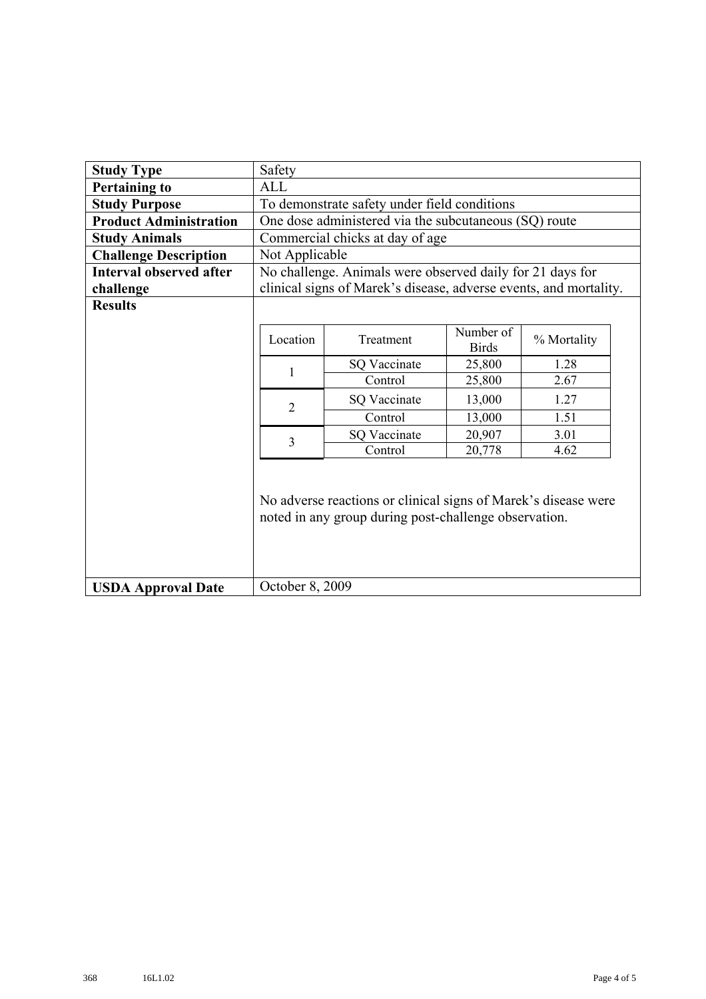| <b>Study Type</b>              | Safety                                                                                                                                               |                                                                   |                           |             |  |  |
|--------------------------------|------------------------------------------------------------------------------------------------------------------------------------------------------|-------------------------------------------------------------------|---------------------------|-------------|--|--|
| <b>Pertaining to</b>           | <b>ALL</b>                                                                                                                                           |                                                                   |                           |             |  |  |
| <b>Study Purpose</b>           | To demonstrate safety under field conditions                                                                                                         |                                                                   |                           |             |  |  |
| <b>Product Administration</b>  | One dose administered via the subcutaneous (SQ) route                                                                                                |                                                                   |                           |             |  |  |
| <b>Study Animals</b>           | Commercial chicks at day of age                                                                                                                      |                                                                   |                           |             |  |  |
| <b>Challenge Description</b>   | Not Applicable                                                                                                                                       |                                                                   |                           |             |  |  |
| <b>Interval observed after</b> | No challenge. Animals were observed daily for 21 days for                                                                                            |                                                                   |                           |             |  |  |
| challenge                      |                                                                                                                                                      | clinical signs of Marek's disease, adverse events, and mortality. |                           |             |  |  |
| <b>Results</b>                 |                                                                                                                                                      |                                                                   |                           |             |  |  |
|                                | Location                                                                                                                                             | Treatment                                                         | Number of<br><b>Birds</b> | % Mortality |  |  |
|                                |                                                                                                                                                      | <b>SQ Vaccinate</b>                                               | 25,800                    | 1.28        |  |  |
|                                | 1                                                                                                                                                    | Control                                                           | 25,800                    | 2.67        |  |  |
|                                | $\overline{2}$                                                                                                                                       | <b>SQ Vaccinate</b>                                               | 13,000                    | 1.27        |  |  |
|                                |                                                                                                                                                      | Control                                                           | 13,000                    | 1.51        |  |  |
|                                | 3                                                                                                                                                    | <b>SQ Vaccinate</b>                                               | 20,907                    | 3.01        |  |  |
|                                | Control<br>20,778<br>4.62<br>No adverse reactions or clinical signs of Marek's disease were<br>noted in any group during post-challenge observation. |                                                                   |                           |             |  |  |
|                                |                                                                                                                                                      |                                                                   |                           |             |  |  |
| <b>USDA Approval Date</b>      | October 8, 2009                                                                                                                                      |                                                                   |                           |             |  |  |